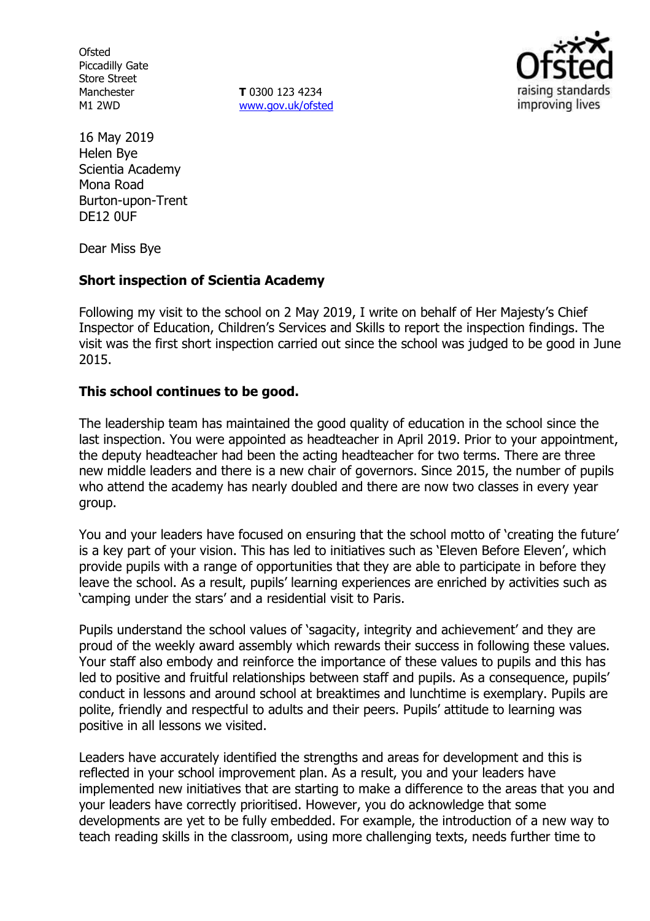**Ofsted** Piccadilly Gate Store Street Manchester M1 2WD

**T** 0300 123 4234 www.gov.uk/ofsted



16 May 2019 Helen Bye Scientia Academy Mona Road Burton-upon-Trent DE12 0UF

Dear Miss Bye

### **Short inspection of Scientia Academy**

Following my visit to the school on 2 May 2019, I write on behalf of Her Majesty's Chief Inspector of Education, Children's Services and Skills to report the inspection findings. The visit was the first short inspection carried out since the school was judged to be good in June 2015.

#### **This school continues to be good.**

The leadership team has maintained the good quality of education in the school since the last inspection. You were appointed as headteacher in April 2019. Prior to your appointment, the deputy headteacher had been the acting headteacher for two terms. There are three new middle leaders and there is a new chair of governors. Since 2015, the number of pupils who attend the academy has nearly doubled and there are now two classes in every year group.

You and your leaders have focused on ensuring that the school motto of 'creating the future' is a key part of your vision. This has led to initiatives such as 'Eleven Before Eleven', which provide pupils with a range of opportunities that they are able to participate in before they leave the school. As a result, pupils' learning experiences are enriched by activities such as 'camping under the stars' and a residential visit to Paris.

Pupils understand the school values of 'sagacity, integrity and achievement' and they are proud of the weekly award assembly which rewards their success in following these values. Your staff also embody and reinforce the importance of these values to pupils and this has led to positive and fruitful relationships between staff and pupils. As a consequence, pupils' conduct in lessons and around school at breaktimes and lunchtime is exemplary. Pupils are polite, friendly and respectful to adults and their peers. Pupils' attitude to learning was positive in all lessons we visited.

Leaders have accurately identified the strengths and areas for development and this is reflected in your school improvement plan. As a result, you and your leaders have implemented new initiatives that are starting to make a difference to the areas that you and your leaders have correctly prioritised. However, you do acknowledge that some developments are yet to be fully embedded. For example, the introduction of a new way to teach reading skills in the classroom, using more challenging texts, needs further time to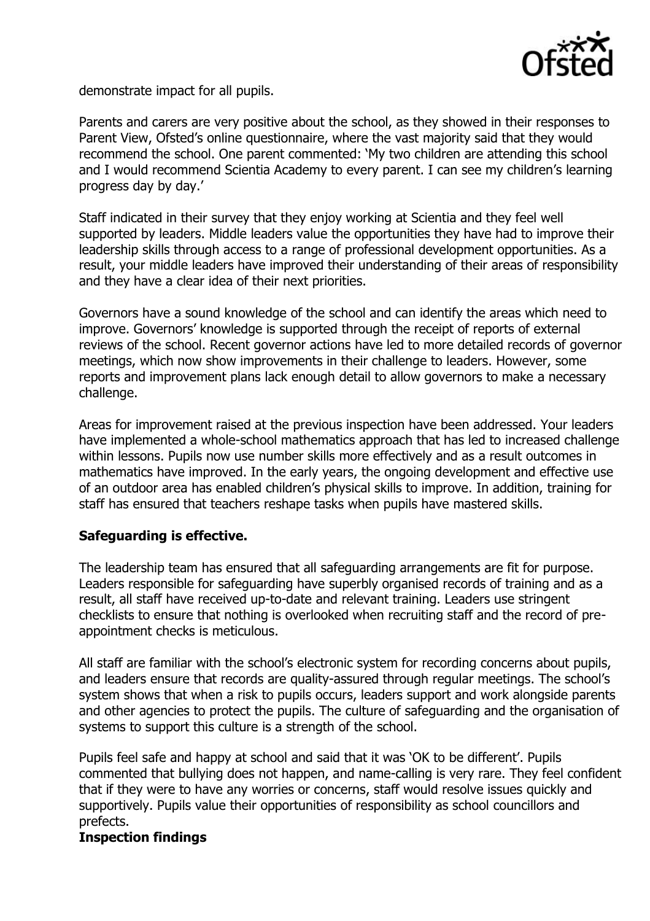

demonstrate impact for all pupils.

Parents and carers are very positive about the school, as they showed in their responses to Parent View, Ofsted's online questionnaire, where the vast majority said that they would recommend the school. One parent commented: 'My two children are attending this school and I would recommend Scientia Academy to every parent. I can see my children's learning progress day by day.'

Staff indicated in their survey that they enjoy working at Scientia and they feel well supported by leaders. Middle leaders value the opportunities they have had to improve their leadership skills through access to a range of professional development opportunities. As a result, your middle leaders have improved their understanding of their areas of responsibility and they have a clear idea of their next priorities.

Governors have a sound knowledge of the school and can identify the areas which need to improve. Governors' knowledge is supported through the receipt of reports of external reviews of the school. Recent governor actions have led to more detailed records of governor meetings, which now show improvements in their challenge to leaders. However, some reports and improvement plans lack enough detail to allow governors to make a necessary challenge.

Areas for improvement raised at the previous inspection have been addressed. Your leaders have implemented a whole-school mathematics approach that has led to increased challenge within lessons. Pupils now use number skills more effectively and as a result outcomes in mathematics have improved. In the early years, the ongoing development and effective use of an outdoor area has enabled children's physical skills to improve. In addition, training for staff has ensured that teachers reshape tasks when pupils have mastered skills.

# **Safeguarding is effective.**

The leadership team has ensured that all safeguarding arrangements are fit for purpose. Leaders responsible for safeguarding have superbly organised records of training and as a result, all staff have received up-to-date and relevant training. Leaders use stringent checklists to ensure that nothing is overlooked when recruiting staff and the record of preappointment checks is meticulous.

All staff are familiar with the school's electronic system for recording concerns about pupils, and leaders ensure that records are quality-assured through regular meetings. The school's system shows that when a risk to pupils occurs, leaders support and work alongside parents and other agencies to protect the pupils. The culture of safeguarding and the organisation of systems to support this culture is a strength of the school.

Pupils feel safe and happy at school and said that it was 'OK to be different'. Pupils commented that bullying does not happen, and name-calling is very rare. They feel confident that if they were to have any worries or concerns, staff would resolve issues quickly and supportively. Pupils value their opportunities of responsibility as school councillors and prefects.

# **Inspection findings**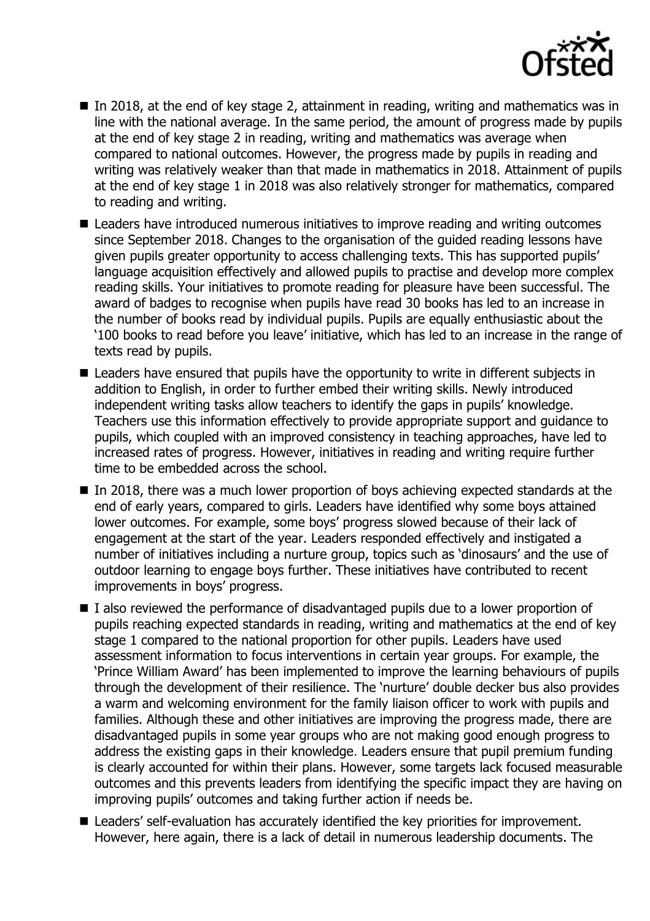

- In 2018, at the end of key stage 2, attainment in reading, writing and mathematics was in line with the national average. In the same period, the amount of progress made by pupils at the end of key stage 2 in reading, writing and mathematics was average when compared to national outcomes. However, the progress made by pupils in reading and writing was relatively weaker than that made in mathematics in 2018. Attainment of pupils at the end of key stage 1 in 2018 was also relatively stronger for mathematics, compared to reading and writing.
- Leaders have introduced numerous initiatives to improve reading and writing outcomes since September 2018. Changes to the organisation of the guided reading lessons have given pupils greater opportunity to access challenging texts. This has supported pupils' language acquisition effectively and allowed pupils to practise and develop more complex reading skills. Your initiatives to promote reading for pleasure have been successful. The award of badges to recognise when pupils have read 30 books has led to an increase in the number of books read by individual pupils. Pupils are equally enthusiastic about the '100 books to read before you leave' initiative, which has led to an increase in the range of texts read by pupils.
- Leaders have ensured that pupils have the opportunity to write in different subjects in addition to English, in order to further embed their writing skills. Newly introduced independent writing tasks allow teachers to identify the gaps in pupils' knowledge. Teachers use this information effectively to provide appropriate support and guidance to pupils, which coupled with an improved consistency in teaching approaches, have led to increased rates of progress. However, initiatives in reading and writing require further time to be embedded across the school.
- In 2018, there was a much lower proportion of boys achieving expected standards at the end of early years, compared to girls. Leaders have identified why some boys attained lower outcomes. For example, some boys' progress slowed because of their lack of engagement at the start of the year. Leaders responded effectively and instigated a number of initiatives including a nurture group, topics such as 'dinosaurs' and the use of outdoor learning to engage boys further. These initiatives have contributed to recent improvements in boys' progress.
- I also reviewed the performance of disadvantaged pupils due to a lower proportion of pupils reaching expected standards in reading, writing and mathematics at the end of key stage 1 compared to the national proportion for other pupils. Leaders have used assessment information to focus interventions in certain year groups. For example, the 'Prince William Award' has been implemented to improve the learning behaviours of pupils through the development of their resilience. The 'nurture' double decker bus also provides a warm and welcoming environment for the family liaison officer to work with pupils and families. Although these and other initiatives are improving the progress made, there are disadvantaged pupils in some year groups who are not making good enough progress to address the existing gaps in their knowledge. Leaders ensure that pupil premium funding is clearly accounted for within their plans. However, some targets lack focused measurable outcomes and this prevents leaders from identifying the specific impact they are having on improving pupils' outcomes and taking further action if needs be.
- Leaders' self-evaluation has accurately identified the key priorities for improvement. However, here again, there is a lack of detail in numerous leadership documents. The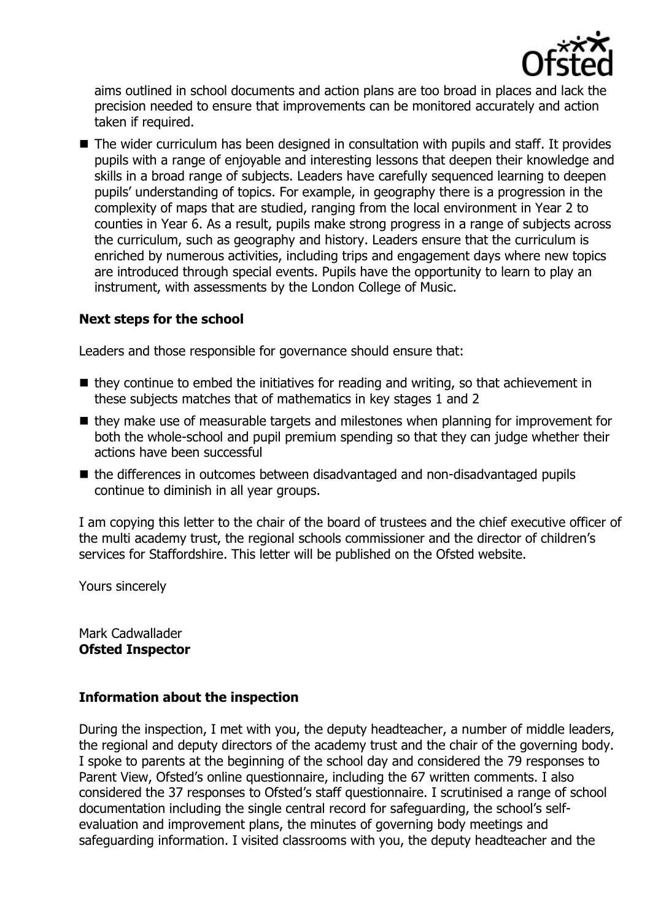

aims outlined in school documents and action plans are too broad in places and lack the precision needed to ensure that improvements can be monitored accurately and action taken if required.

■ The wider curriculum has been designed in consultation with pupils and staff. It provides pupils with a range of enjoyable and interesting lessons that deepen their knowledge and skills in a broad range of subjects. Leaders have carefully sequenced learning to deepen pupils' understanding of topics. For example, in geography there is a progression in the complexity of maps that are studied, ranging from the local environment in Year 2 to counties in Year 6. As a result, pupils make strong progress in a range of subjects across the curriculum, such as geography and history. Leaders ensure that the curriculum is enriched by numerous activities, including trips and engagement days where new topics are introduced through special events. Pupils have the opportunity to learn to play an instrument, with assessments by the London College of Music.

## **Next steps for the school**

Leaders and those responsible for governance should ensure that:

- $\blacksquare$  they continue to embed the initiatives for reading and writing, so that achievement in these subjects matches that of mathematics in key stages 1 and 2
- they make use of measurable targets and milestones when planning for improvement for both the whole-school and pupil premium spending so that they can judge whether their actions have been successful
- the differences in outcomes between disadvantaged and non-disadvantaged pupils continue to diminish in all year groups.

I am copying this letter to the chair of the board of trustees and the chief executive officer of the multi academy trust, the regional schools commissioner and the director of children's services for Staffordshire. This letter will be published on the Ofsted website.

Yours sincerely

Mark Cadwallader **Ofsted Inspector**

### **Information about the inspection**

During the inspection, I met with you, the deputy headteacher, a number of middle leaders, the regional and deputy directors of the academy trust and the chair of the governing body. I spoke to parents at the beginning of the school day and considered the 79 responses to Parent View, Ofsted's online questionnaire, including the 67 written comments. I also considered the 37 responses to Ofsted's staff questionnaire. I scrutinised a range of school documentation including the single central record for safeguarding, the school's selfevaluation and improvement plans, the minutes of governing body meetings and safeguarding information. I visited classrooms with you, the deputy headteacher and the